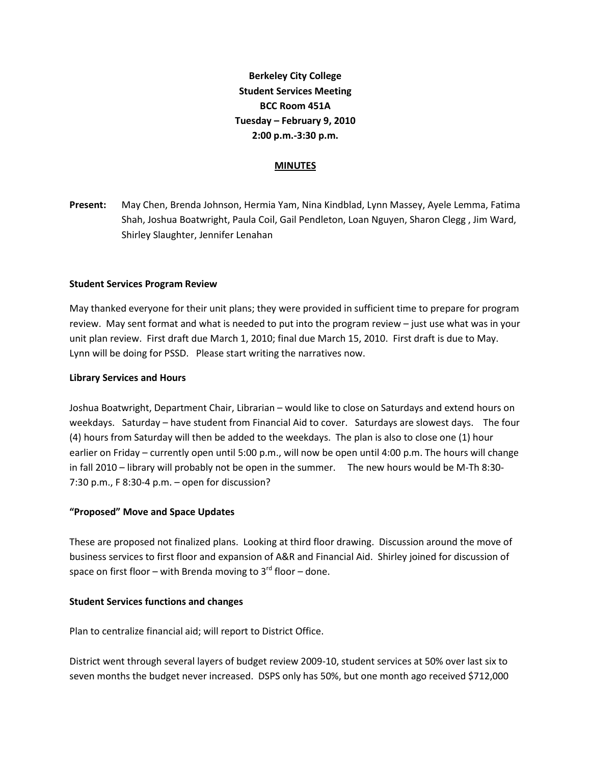**Berkeley City College Student Services Meeting BCC Room 451A Tuesday – February 9, 2010 2:00 p.m.-3:30 p.m.**

## **MINUTES**

**Present:** May Chen, Brenda Johnson, Hermia Yam, Nina Kindblad, Lynn Massey, Ayele Lemma, Fatima Shah, Joshua Boatwright, Paula Coil, Gail Pendleton, Loan Nguyen, Sharon Clegg , Jim Ward, Shirley Slaughter, Jennifer Lenahan

## **Student Services Program Review**

May thanked everyone for their unit plans; they were provided in sufficient time to prepare for program review. May sent format and what is needed to put into the program review – just use what was in your unit plan review. First draft due March 1, 2010; final due March 15, 2010. First draft is due to May. Lynn will be doing for PSSD. Please start writing the narratives now.

#### **Library Services and Hours**

Joshua Boatwright, Department Chair, Librarian – would like to close on Saturdays and extend hours on weekdays. Saturday – have student from Financial Aid to cover. Saturdays are slowest days. The four (4) hours from Saturday will then be added to the weekdays. The plan is also to close one (1) hour earlier on Friday – currently open until 5:00 p.m., will now be open until 4:00 p.m. The hours will change in fall 2010 – library will probably not be open in the summer. The new hours would be M-Th 8:30- 7:30 p.m., F 8:30-4 p.m. – open for discussion?

#### **"Proposed" Move and Space Updates**

These are proposed not finalized plans. Looking at third floor drawing. Discussion around the move of business services to first floor and expansion of A&R and Financial Aid. Shirley joined for discussion of space on first floor – with Brenda moving to  $3^{rd}$  floor – done.

#### **Student Services functions and changes**

Plan to centralize financial aid; will report to District Office.

District went through several layers of budget review 2009-10, student services at 50% over last six to seven months the budget never increased. DSPS only has 50%, but one month ago received \$712,000